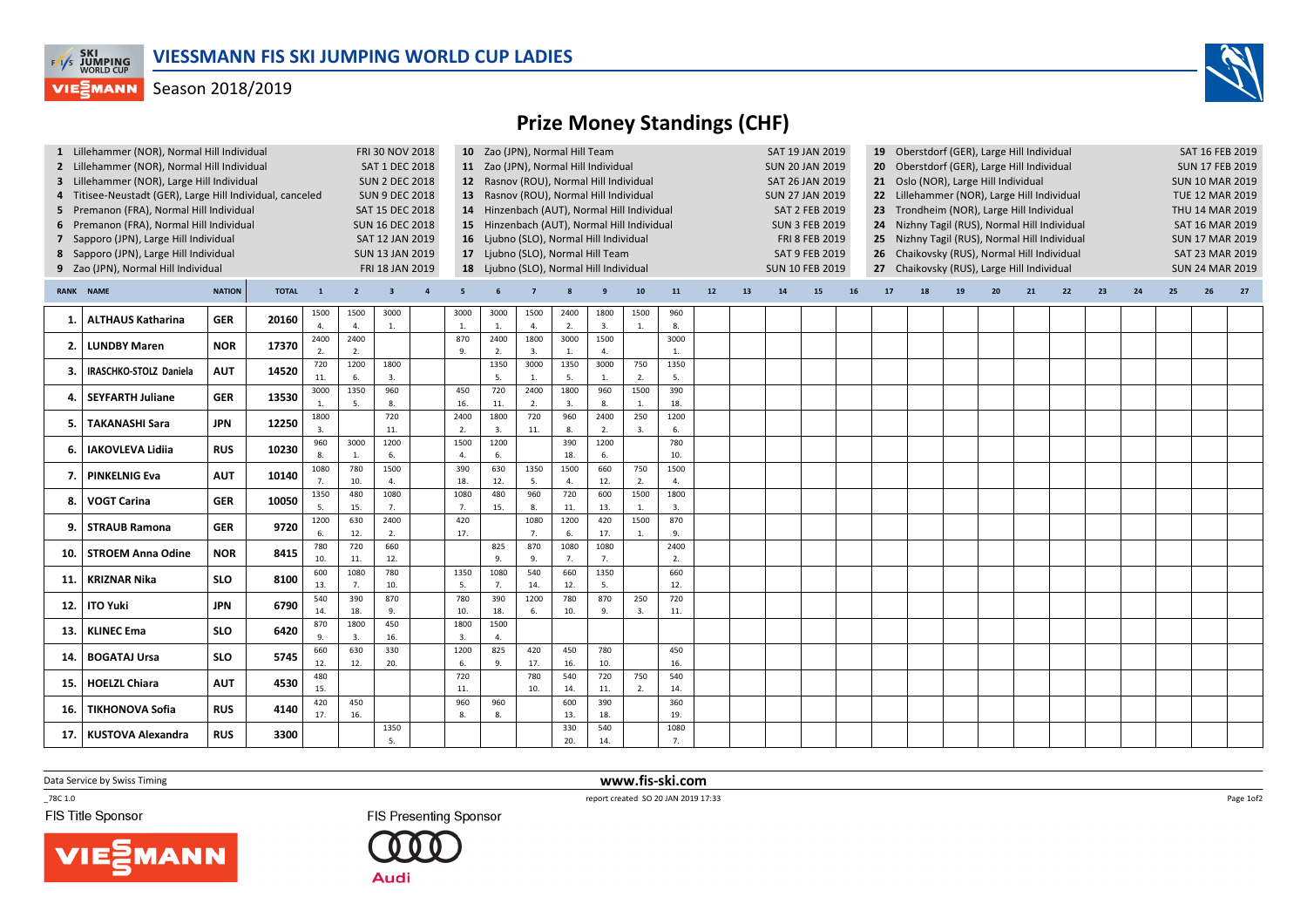

## **VIEGMANN** Season 2018/2019

## Prize Money Standings (CHF)

| 1 Lillehammer (NOR), Normal Hill Individual<br>2 Lillehammer (NOR), Normal Hill Individual<br>3 Lillehammer (NOR), Large Hill Individual<br>4 Titisee-Neustadt (GER), Large Hill Individual, canceled<br>5 Premanon (FRA), Normal Hill Individual<br>6 Premanon (FRA), Normal Hill Individual<br>7 Sapporo (JPN), Large Hill Individual<br>8 Sapporo (JPN), Large Hill Individual<br>9 Zao (JPN), Normal Hill Individual |                               |               |              |                          |                | <b>FRI 30 NOV 2018</b><br><b>SAT 1 DEC 2018</b><br><b>SUN 2 DEC 2018</b><br><b>SUN 9 DEC 2018</b><br>SAT 15 DEC 2018<br><b>SUN 16 DEC 2018</b><br>SAT 12 JAN 2019<br><b>SUN 13 JAN 2019</b><br>FRI 18 JAN 2019 |                        | 10 Zao (JPN), Normal Hill Team<br>11 Zao (JPN), Normal Hill Individual<br>12 Rasnov (ROU), Normal Hill Individual<br>13 Rasnov (ROU), Normal Hill Individual<br>14 Hinzenbach (AUT), Normal Hill Individual<br>15 Hinzenbach (AUT), Normal Hill Individual<br>16 Ljubno (SLO), Normal Hill Individual<br>17 Ljubno (SLO), Normal Hill Team<br>18 Ljubno (SLO), Normal Hill Individual |                |            |                      |                         |                        |    |    |    | SAT 19 JAN 2019<br><b>SUN 20 JAN 2019</b><br><b>SAT 26 JAN 2019</b><br><b>SUN 27 JAN 2019</b><br><b>SAT 2 FEB 2019</b><br><b>SUN 3 FEB 2019</b><br>FRI 8 FEB 2019<br><b>SAT 9 FEB 2019</b><br><b>SUN 10 FEB 2019</b> |    | 20<br>25 <sub>1</sub><br>26<br>27 <sub>2</sub> | 19 Oberstdorf (GER), Large Hill Individual<br>Oberstdorf (GER), Large Hill Individual<br>21 Oslo (NOR), Large Hill Individual<br>22 Lillehammer (NOR), Large Hill Individual<br>23 Trondheim (NOR), Large Hill Individual<br>24 Nizhny Tagil (RUS), Normal Hill Individual<br>Nizhny Tagil (RUS), Normal Hill Individual<br>Chaikovsky (RUS), Normal Hill Individual<br>Chaikovsky (RUS), Large Hill Individual |    | SAT 16 FEB 2019<br><b>SUN 17 FEB 2019</b><br><b>SUN 10 MAR 2019</b><br><b>TUE 12 MAR 2019</b><br>THU 14 MAR 2019<br><b>SAT 16 MAR 2019</b><br><b>SUN 17 MAR 2019</b><br><b>SAT 23 MAR 2019</b><br><b>SUN 24 MAR 2019</b> |    |    |    |    |    |    |    |
|--------------------------------------------------------------------------------------------------------------------------------------------------------------------------------------------------------------------------------------------------------------------------------------------------------------------------------------------------------------------------------------------------------------------------|-------------------------------|---------------|--------------|--------------------------|----------------|----------------------------------------------------------------------------------------------------------------------------------------------------------------------------------------------------------------|------------------------|---------------------------------------------------------------------------------------------------------------------------------------------------------------------------------------------------------------------------------------------------------------------------------------------------------------------------------------------------------------------------------------|----------------|------------|----------------------|-------------------------|------------------------|----|----|----|----------------------------------------------------------------------------------------------------------------------------------------------------------------------------------------------------------------------|----|------------------------------------------------|-----------------------------------------------------------------------------------------------------------------------------------------------------------------------------------------------------------------------------------------------------------------------------------------------------------------------------------------------------------------------------------------------------------------|----|--------------------------------------------------------------------------------------------------------------------------------------------------------------------------------------------------------------------------|----|----|----|----|----|----|----|
|                                                                                                                                                                                                                                                                                                                                                                                                                          | <b>RANK NAME</b>              | <b>NATION</b> | <b>TOTAL</b> | $\mathbf{1}$             | $\overline{2}$ | -3                                                                                                                                                                                                             | -5                     |                                                                                                                                                                                                                                                                                                                                                                                       | $\overline{7}$ |            |                      | 10                      | 11                     | 12 | 13 | 14 | 15                                                                                                                                                                                                                   | 16 | 17                                             | 18                                                                                                                                                                                                                                                                                                                                                                                                              | 19 | 20 <sup>°</sup>                                                                                                                                                                                                          | 21 | 22 | 23 | 24 | 25 | 26 | 27 |
| -1.                                                                                                                                                                                                                                                                                                                                                                                                                      | <b>ALTHAUS Katharina</b>      | <b>GER</b>    | 20160        | 1500                     | 1500<br>4.     | 3000<br>1.                                                                                                                                                                                                     | 3000<br>1.             | 3000<br>$\mathbf{1}$ .                                                                                                                                                                                                                                                                                                                                                                | 1500<br>4.     | 2400<br>2. | 1800<br>3.           | 1500<br>1.              | 960<br>8.              |    |    |    |                                                                                                                                                                                                                      |    |                                                |                                                                                                                                                                                                                                                                                                                                                                                                                 |    |                                                                                                                                                                                                                          |    |    |    |    |    |    |    |
| 2.                                                                                                                                                                                                                                                                                                                                                                                                                       | <b>LUNDBY Maren</b>           | <b>NOR</b>    | 17370        | 2400<br>2.               | 2400<br>2.     |                                                                                                                                                                                                                | 870<br>9.              | 2400<br>2.                                                                                                                                                                                                                                                                                                                                                                            | 1800<br>3.     | 3000<br>1. | 1500<br>$\mathbf{A}$ |                         | 3000<br>$\overline{1}$ |    |    |    |                                                                                                                                                                                                                      |    |                                                |                                                                                                                                                                                                                                                                                                                                                                                                                 |    |                                                                                                                                                                                                                          |    |    |    |    |    |    |    |
| 3.                                                                                                                                                                                                                                                                                                                                                                                                                       | <b>IRASCHKO-STOLZ Daniela</b> | <b>AUT</b>    | 14520        | 720<br>11.               | 1200<br>6.     | 1800<br>3.                                                                                                                                                                                                     |                        | 1350<br>5                                                                                                                                                                                                                                                                                                                                                                             | 3000           | 1350<br>5. | 3000<br>1.           | 750<br>2.               | 1350<br>5.             |    |    |    |                                                                                                                                                                                                                      |    |                                                |                                                                                                                                                                                                                                                                                                                                                                                                                 |    |                                                                                                                                                                                                                          |    |    |    |    |    |    |    |
| 4.                                                                                                                                                                                                                                                                                                                                                                                                                       | <b>SEYFARTH Juliane</b>       | <b>GER</b>    | 13530        | 3000                     | 1350<br>5.     | 960<br>8.                                                                                                                                                                                                      | 450<br>16.             | 720<br>11.                                                                                                                                                                                                                                                                                                                                                                            | 2400<br>2.     | 1800<br>3. | 960<br>8.            | 1500<br>1.              | 390<br>18.             |    |    |    |                                                                                                                                                                                                                      |    |                                                |                                                                                                                                                                                                                                                                                                                                                                                                                 |    |                                                                                                                                                                                                                          |    |    |    |    |    |    |    |
| 5.                                                                                                                                                                                                                                                                                                                                                                                                                       | <b>TAKANASHI Sara</b>         | JPN           | 12250        | 1800<br>$\overline{3}$ . |                | 720<br>11.                                                                                                                                                                                                     | 2400<br>$\overline{2}$ | 1800<br>3.                                                                                                                                                                                                                                                                                                                                                                            | 720<br>11.     | 960<br>8.  | 2400<br>2.           | 250<br>$\overline{3}$ . | 1200<br>6.             |    |    |    |                                                                                                                                                                                                                      |    |                                                |                                                                                                                                                                                                                                                                                                                                                                                                                 |    |                                                                                                                                                                                                                          |    |    |    |    |    |    |    |
| 6.                                                                                                                                                                                                                                                                                                                                                                                                                       | <b>IAKOVLEVA Lidiia</b>       | <b>RUS</b>    | 10230        | 960<br>$\mathbf{R}$      | 3000<br>1.     | 1200<br>6.                                                                                                                                                                                                     | 1500<br>$\overline{4}$ | 1200<br>6.                                                                                                                                                                                                                                                                                                                                                                            |                | 390<br>18. | 1200<br>6.           |                         | 780<br>10.             |    |    |    |                                                                                                                                                                                                                      |    |                                                |                                                                                                                                                                                                                                                                                                                                                                                                                 |    |                                                                                                                                                                                                                          |    |    |    |    |    |    |    |
| 7.                                                                                                                                                                                                                                                                                                                                                                                                                       | <b>PINKELNIG Eva</b>          | <b>AUT</b>    | 10140        | 1080<br>7 <sub>1</sub>   | 780<br>10.     | 1500<br>4.                                                                                                                                                                                                     | 390<br>18.             | 630<br>12.                                                                                                                                                                                                                                                                                                                                                                            | 1350<br>5.     | 1500<br>4. | 660<br>12.           | 750<br>2.               | 1500<br>$\overline{4}$ |    |    |    |                                                                                                                                                                                                                      |    |                                                |                                                                                                                                                                                                                                                                                                                                                                                                                 |    |                                                                                                                                                                                                                          |    |    |    |    |    |    |    |
| 8.                                                                                                                                                                                                                                                                                                                                                                                                                       | VOGT Carina                   | <b>GER</b>    | 10050        | 1350                     | 480<br>15.     | 1080<br>7.                                                                                                                                                                                                     | 1080<br>7.             | 480<br>15.                                                                                                                                                                                                                                                                                                                                                                            | 960<br>8.      | 720<br>11. | 600<br>13.           | 1500<br>1.              | 1800<br>3.             |    |    |    |                                                                                                                                                                                                                      |    |                                                |                                                                                                                                                                                                                                                                                                                                                                                                                 |    |                                                                                                                                                                                                                          |    |    |    |    |    |    |    |
| 9.                                                                                                                                                                                                                                                                                                                                                                                                                       | <b>STRAUB Ramona</b>          | <b>GER</b>    | 9720         | 1200                     | 630<br>12.     | 2400<br>2.                                                                                                                                                                                                     | 420<br>17.             |                                                                                                                                                                                                                                                                                                                                                                                       | 1080<br>7.     | 1200<br>6. | 420<br>17.           | 1500<br>1.              | 870<br>9               |    |    |    |                                                                                                                                                                                                                      |    |                                                |                                                                                                                                                                                                                                                                                                                                                                                                                 |    |                                                                                                                                                                                                                          |    |    |    |    |    |    |    |
| 10.                                                                                                                                                                                                                                                                                                                                                                                                                      | <b>STROEM Anna Odine</b>      | <b>NOR</b>    | 8415         | 780<br>10.               | 720<br>11.     | 660<br>12.                                                                                                                                                                                                     |                        | 825<br>9.                                                                                                                                                                                                                                                                                                                                                                             | 870<br>9.      | 1080<br>7. | 1080<br>7.           |                         | 2400<br>$\overline{2}$ |    |    |    |                                                                                                                                                                                                                      |    |                                                |                                                                                                                                                                                                                                                                                                                                                                                                                 |    |                                                                                                                                                                                                                          |    |    |    |    |    |    |    |
| 11.                                                                                                                                                                                                                                                                                                                                                                                                                      | <b>KRIZNAR Nika</b>           | <b>SLO</b>    | 8100         | 600<br>13.               | 1080<br>7.     | 780<br>10.                                                                                                                                                                                                     | 1350<br>5.             | 1080<br>7.                                                                                                                                                                                                                                                                                                                                                                            | 540<br>14.     | 660<br>12. | 1350<br>5.           |                         | 660<br>12.             |    |    |    |                                                                                                                                                                                                                      |    |                                                |                                                                                                                                                                                                                                                                                                                                                                                                                 |    |                                                                                                                                                                                                                          |    |    |    |    |    |    |    |
| 12.                                                                                                                                                                                                                                                                                                                                                                                                                      | <b>ITO Yuki</b>               | <b>JPN</b>    | 6790         | 540<br>14.               | 390<br>18.     | 870<br>9.                                                                                                                                                                                                      | 780<br>10.             | 390<br>18.                                                                                                                                                                                                                                                                                                                                                                            | 1200<br>6.     | 780<br>10. | 870<br>9.            | 250<br>3.               | 720<br>11.             |    |    |    |                                                                                                                                                                                                                      |    |                                                |                                                                                                                                                                                                                                                                                                                                                                                                                 |    |                                                                                                                                                                                                                          |    |    |    |    |    |    |    |
| 13.                                                                                                                                                                                                                                                                                                                                                                                                                      | <b>KLINEC Ema</b>             | <b>SLO</b>    | 6420         | 870<br>9.                | 1800<br>3.     | 450<br>16.                                                                                                                                                                                                     | 1800<br>$\overline{3}$ | 1500<br>4.                                                                                                                                                                                                                                                                                                                                                                            |                |            |                      |                         |                        |    |    |    |                                                                                                                                                                                                                      |    |                                                |                                                                                                                                                                                                                                                                                                                                                                                                                 |    |                                                                                                                                                                                                                          |    |    |    |    |    |    |    |
| 14.                                                                                                                                                                                                                                                                                                                                                                                                                      | <b>BOGATAJ Ursa</b>           | <b>SLO</b>    | 5745         | 660<br>12.               | 630<br>12.     | 330<br>20.                                                                                                                                                                                                     | 1200<br>6.             | 825<br>9.                                                                                                                                                                                                                                                                                                                                                                             | 420<br>17.     | 450<br>16. | 780<br>10.           |                         | 450<br>16.             |    |    |    |                                                                                                                                                                                                                      |    |                                                |                                                                                                                                                                                                                                                                                                                                                                                                                 |    |                                                                                                                                                                                                                          |    |    |    |    |    |    |    |
| 15.                                                                                                                                                                                                                                                                                                                                                                                                                      | <b>HOELZL Chiara</b>          | <b>AUT</b>    | 4530         | 480<br>15.               |                |                                                                                                                                                                                                                | 720<br>11.             |                                                                                                                                                                                                                                                                                                                                                                                       | 780<br>10.     | 540<br>14. | 720<br>11.           | 750<br>2.               | 540<br>14.             |    |    |    |                                                                                                                                                                                                                      |    |                                                |                                                                                                                                                                                                                                                                                                                                                                                                                 |    |                                                                                                                                                                                                                          |    |    |    |    |    |    |    |
| 16.                                                                                                                                                                                                                                                                                                                                                                                                                      | <b>TIKHONOVA Sofia</b>        | <b>RUS</b>    | 4140         | 420<br>17.               | 450<br>16.     |                                                                                                                                                                                                                | 960<br>8.              | 960<br>8.                                                                                                                                                                                                                                                                                                                                                                             |                | 600<br>13. | 390<br>18.           |                         | 360<br>19.             |    |    |    |                                                                                                                                                                                                                      |    |                                                |                                                                                                                                                                                                                                                                                                                                                                                                                 |    |                                                                                                                                                                                                                          |    |    |    |    |    |    |    |
| 17.                                                                                                                                                                                                                                                                                                                                                                                                                      | <b>KUSTOVA Alexandra</b>      | <b>RUS</b>    | 3300         |                          |                | 1350<br>5.                                                                                                                                                                                                     |                        |                                                                                                                                                                                                                                                                                                                                                                                       |                | 330<br>20. | 540<br>14.           |                         | 1080<br>$\overline{7}$ |    |    |    |                                                                                                                                                                                                                      |    |                                                |                                                                                                                                                                                                                                                                                                                                                                                                                 |    |                                                                                                                                                                                                                          |    |    |    |    |    |    |    |

Data Service by Swiss Timing

 $-78C 1.0$ 

FIS Title Sponsor





 www.fis-ski.comreport created SO 20 JAN 2019 17:33

Page 1of2